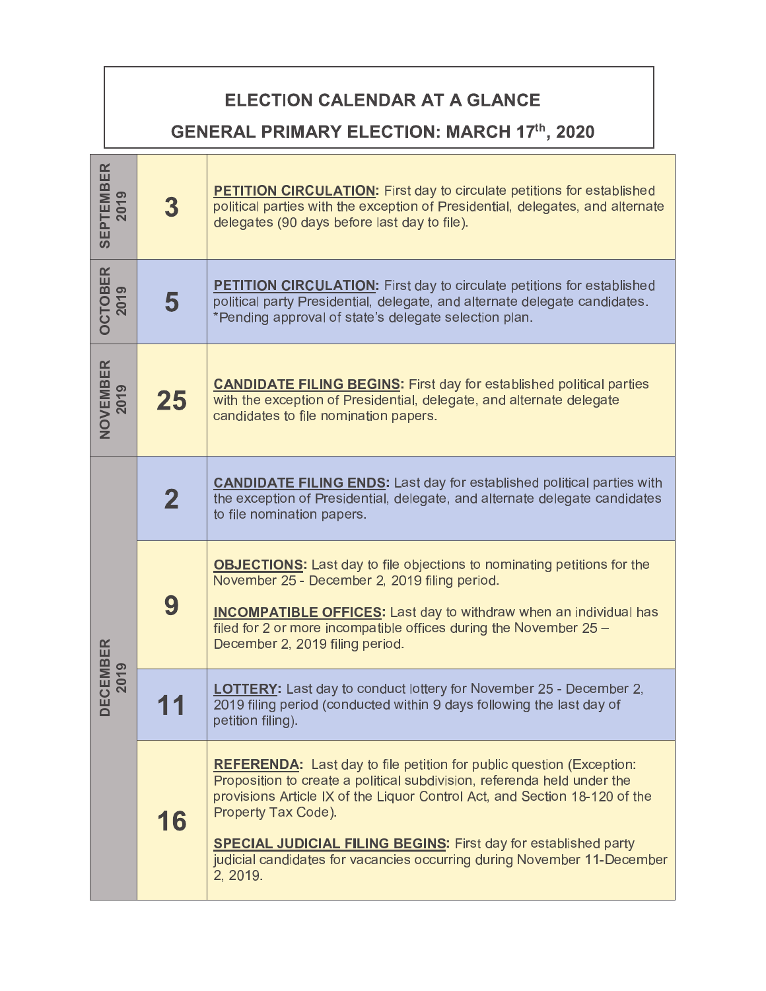## ELECTION CALENDAR AT A GLANCE

## **GENERAL PRIMARY ELECTION: MARCH 17th, 2020**

| <b>SEPTEMBER</b><br>2019 | 3           | <b>PETITION CIRCULATION:</b> First day to circulate petitions for established<br>political parties with the exception of Presidential, delegates, and alternate<br>delegates (90 days before last day to file).                                                                                                                                                                                                              |
|--------------------------|-------------|------------------------------------------------------------------------------------------------------------------------------------------------------------------------------------------------------------------------------------------------------------------------------------------------------------------------------------------------------------------------------------------------------------------------------|
| <b>OCTOBER</b><br>2019   | 5           | <b>PETITION CIRCULATION:</b> First day to circulate petitions for established<br>political party Presidential, delegate, and alternate delegate candidates.<br>*Pending approval of state's delegate selection plan.                                                                                                                                                                                                         |
| NOVEMBER<br>2019         | 25          | <b>CANDIDATE FILING BEGINS:</b> First day for established political parties<br>with the exception of Presidential, delegate, and alternate delegate<br>candidates to file nomination papers.                                                                                                                                                                                                                                 |
| ECEMBER<br>2019          | $\mathbf 2$ | <b>CANDIDATE FILING ENDS:</b> Last day for established political parties with<br>the exception of Presidential, delegate, and alternate delegate candidates<br>to file nomination papers.                                                                                                                                                                                                                                    |
|                          | 9           | <b>OBJECTIONS:</b> Last day to file objections to nominating petitions for the<br>November 25 - December 2, 2019 filing period.<br><b>INCOMPATIBLE OFFICES:</b> Last day to withdraw when an individual has<br>filed for 2 or more incompatible offices during the November 25 -<br>December 2, 2019 filing period.                                                                                                          |
|                          |             | <b>LOTTERY:</b> Last day to conduct lottery for November 25 - December 2,<br>2019 filing period (conducted within 9 days following the last day of<br>petition filing).                                                                                                                                                                                                                                                      |
|                          | 16          | <b>REFERENDA:</b> Last day to file petition for public question (Exception:<br>Proposition to create a political subdivision, referenda held under the<br>provisions Article IX of the Liquor Control Act, and Section 18-120 of the<br>Property Tax Code).<br><b>SPECIAL JUDICIAL FILING BEGINS:</b> First day for established party<br>judicial candidates for vacancies occurring during November 11-December<br>2, 2019. |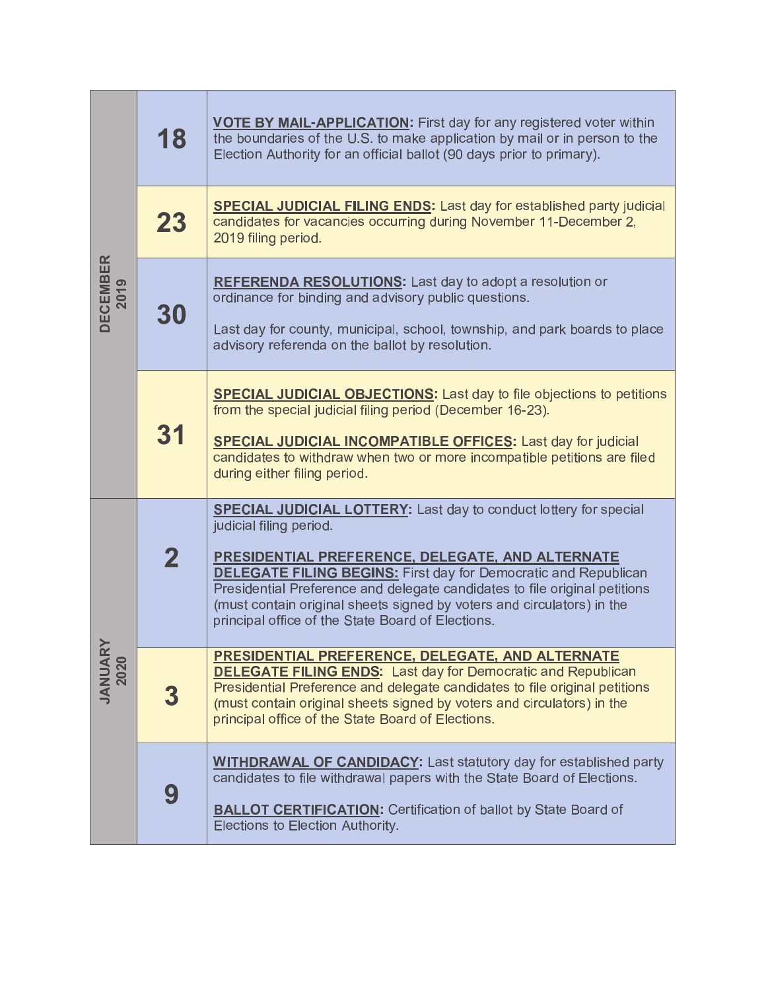| <b>DECEMBER</b><br>2019 | 18          | <b>VOTE BY MAIL-APPLICATION:</b> First day for any registered voter within<br>the boundaries of the U.S. to make application by mail or in person to the<br>Election Authority for an official ballot (90 days prior to primary).                                                                                                                                                                                                              |
|-------------------------|-------------|------------------------------------------------------------------------------------------------------------------------------------------------------------------------------------------------------------------------------------------------------------------------------------------------------------------------------------------------------------------------------------------------------------------------------------------------|
|                         | 23          | <b>SPECIAL JUDICIAL FILING ENDS:</b> Last day for established party judicial<br>candidates for vacancies occurring during November 11-December 2,<br>2019 filing period.                                                                                                                                                                                                                                                                       |
|                         | 30          | <b>REFERENDA RESOLUTIONS:</b> Last day to adopt a resolution or<br>ordinance for binding and advisory public questions.<br>Last day for county, municipal, school, township, and park boards to place<br>advisory referenda on the ballot by resolution.                                                                                                                                                                                       |
|                         | 31          | <b>SPECIAL JUDICIAL OBJECTIONS:</b> Last day to file objections to petitions<br>from the special judicial filing period (December 16-23).<br><b>SPECIAL JUDICIAL INCOMPATIBLE OFFICES:</b> Last day for judicial<br>candidates to withdraw when two or more incompatible petitions are filed<br>during either filing period.                                                                                                                   |
| <b>JANUAF</b><br>2020   | $\mathbf 2$ | <b>SPECIAL JUDICIAL LOTTERY:</b> Last day to conduct lottery for special<br>judicial filing period.<br>PRESIDENTIAL PREFERENCE, DELEGATE, AND ALTERNATE<br><b>DELEGATE FILING BEGINS:</b> First day for Democratic and Republican<br>Presidential Preference and delegate candidates to file original petitions<br>(must contain original sheets signed by voters and circulators) in the<br>principal office of the State Board of Elections. |
|                         | 3           | <b>PRESIDENTIAL PREFERENCE, DELEGATE, AND ALTERNATE</b><br><b>DELEGATE FILING ENDS: Last day for Democratic and Republican</b><br>Presidential Preference and delegate candidates to file original petitions<br>(must contain original sheets signed by voters and circulators) in the<br>principal office of the State Board of Elections.                                                                                                    |
|                         | 9           | <b>WITHDRAWAL OF CANDIDACY:</b> Last statutory day for established party<br>candidates to file withdrawal papers with the State Board of Elections.<br><b>BALLOT CERTIFICATION:</b> Certification of ballot by State Board of<br>Elections to Election Authority.                                                                                                                                                                              |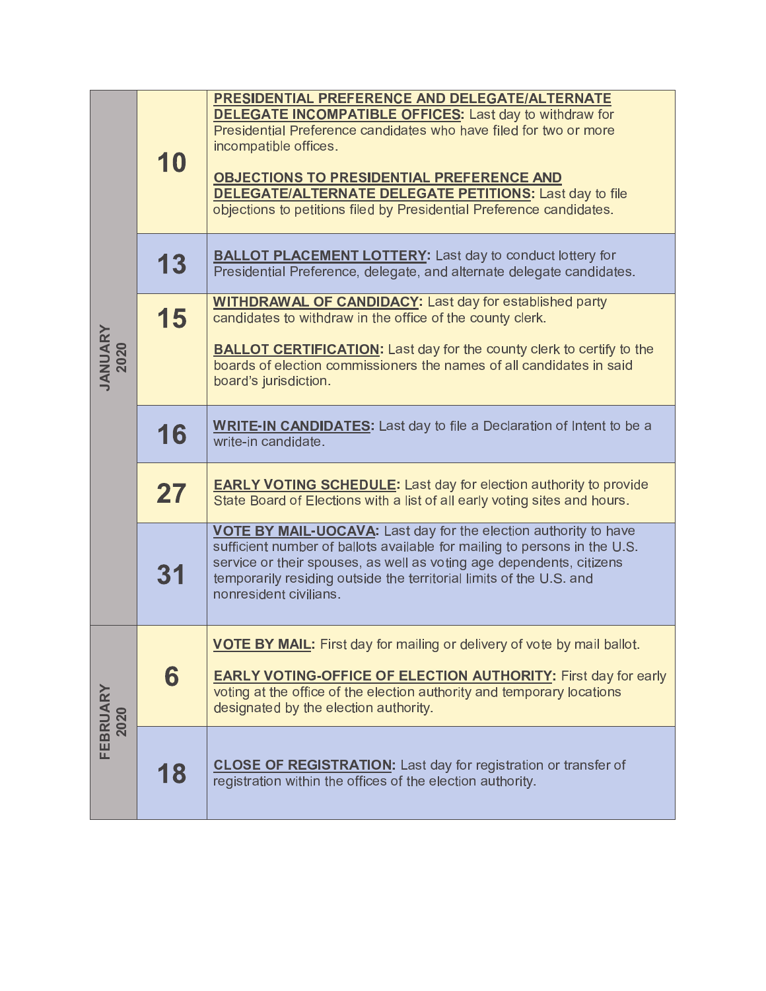| JANUARY<br>2020  | 10 | PRESIDENTIAL PREFERENCE AND DELEGATE/ALTERNATE<br><b>DELEGATE INCOMPATIBLE OFFICES:</b> Last day to withdraw for<br>Presidential Preference candidates who have filed for two or more<br>incompatible offices.<br><b>OBJECTIONS TO PRESIDENTIAL PREFERENCE AND</b><br><b>DELEGATE/ALTERNATE DELEGATE PETITIONS:</b> Last day to file<br>objections to petitions filed by Presidential Preference candidates. |
|------------------|----|--------------------------------------------------------------------------------------------------------------------------------------------------------------------------------------------------------------------------------------------------------------------------------------------------------------------------------------------------------------------------------------------------------------|
|                  | 13 | <b>BALLOT PLACEMENT LOTTERY:</b> Last day to conduct lottery for<br>Presidential Preference, delegate, and alternate delegate candidates.                                                                                                                                                                                                                                                                    |
|                  | 15 | <b>WITHDRAWAL OF CANDIDACY:</b> Last day for established party<br>candidates to withdraw in the office of the county clerk.<br><b>BALLOT CERTIFICATION:</b> Last day for the county clerk to certify to the<br>boards of election commissioners the names of all candidates in said<br>board's jurisdiction.                                                                                                 |
|                  | 16 | <b>WRITE-IN CANDIDATES:</b> Last day to file a Declaration of Intent to be a<br>write-in candidate.                                                                                                                                                                                                                                                                                                          |
|                  | 27 | <b>EARLY VOTING SCHEDULE:</b> Last day for election authority to provide<br>State Board of Elections with a list of all early voting sites and hours.                                                                                                                                                                                                                                                        |
|                  | 31 | VOTE BY MAIL-UOCAVA: Last day for the election authority to have<br>sufficient number of ballots available for mailing to persons in the U.S.<br>service or their spouses, as well as voting age dependents, citizens<br>temporarily residing outside the territorial limits of the U.S. and<br>nonresident civilians.                                                                                       |
| FEBRUARY<br>2020 | 6  | <b>VOTE BY MAIL:</b> First day for mailing or delivery of vote by mail ballot.<br><b>EARLY VOTING-OFFICE OF ELECTION AUTHORITY: First day for early</b><br>voting at the office of the election authority and temporary locations<br>designated by the election authority.                                                                                                                                   |
|                  | 18 | <b>CLOSE OF REGISTRATION:</b> Last day for registration or transfer of<br>registration within the offices of the election authority.                                                                                                                                                                                                                                                                         |